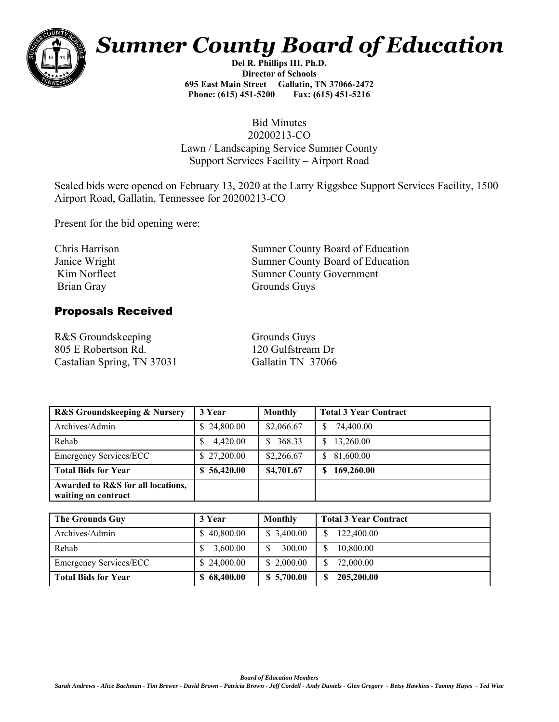

## *Sumner County Board of Education*

**Del R. Phillips III, Ph.D. Director of Schools 695 East Main Street Gallatin, TN 37066-2472 Phone: (615) 451-5200 Fax: (615) 451-5216** 

## Bid Minutes 20200213-CO Lawn / Landscaping Service Sumner County Support Services Facility – Airport Road

Sealed bids were opened on February 13, 2020 at the Larry Riggsbee Support Services Facility, 1500 Airport Road, Gallatin, Tennessee for 20200213-CO

Present for the bid opening were:

Chris Harrison Janice Wright Kim Norfleet Brian Gray

Sumner County Board of Education Sumner County Board of Education Sumner County Government Grounds Guys

## Proposals Received

R&S Groundskeeping 805 E Robertson Rd. Castalian Spring, TN 37031 Gallatin TN 37066

Grounds Guys 120 Gulfstream Dr

| <b>R&amp;S Groundskeeping &amp; Nursery</b>              | 3 Year      | Monthly                 | <b>Total 3 Year Contract</b> |
|----------------------------------------------------------|-------------|-------------------------|------------------------------|
| Archives/Admin                                           | \$24,800.00 | \$2,066.67              | 74,400.00<br>S               |
| Rehab                                                    | 4,420.00    | 368.33<br><sup>\$</sup> | 13,260.00                    |
| <b>Emergency Services/ECC</b>                            | \$27,200.00 | \$2,266.67              | 81,600.00<br><sup>\$</sup>   |
| <b>Total Bids for Year</b>                               | \$56,420.00 | \$4,701.67              | 169,260.00                   |
| Awarded to R&S for all locations,<br>waiting on contract |             |                         |                              |

| <b>The Grounds Guy</b>        | 3 Year      | Monthly    | <b>Total 3 Year Contract</b> |
|-------------------------------|-------------|------------|------------------------------|
| Archives/Admin                | \$40,800.00 | \$3,400.00 | 122,400.00                   |
| Rehab                         | 3,600.00    | 300.00     | 10,800.00                    |
| <b>Emergency Services/ECC</b> | \$24,000.00 | \$2,000.00 | 72,000.00                    |
| <b>Total Bids for Year</b>    | \$68,400.00 | \$5,700.00 | 205,200.00                   |